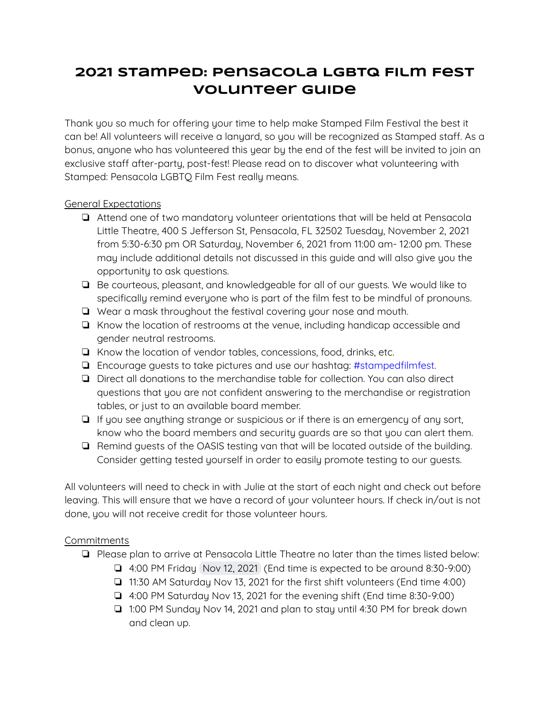# **2021 Stamped: Pensacola LGBTQ Film Fest Volunteer Guide**

Thank you so much for offering your time to help make Stamped Film Festival the best it can be! All volunteers will receive a lanyard, so you will be recognized as Stamped staff. As a bonus, anyone who has volunteered this year by the end of the fest will be invited to join an exclusive staff after-party, post-fest! Please read on to discover what volunteering with Stamped: Pensacola LGBTQ Film Fest really means.

# General Expectations

- ❏ Attend one of two mandatory volunteer orientations that will be held at Pensacola Little Theatre, 400 S Jefferson St, Pensacola, FL 32502 Tuesday, November 2, 2021 from 5:30-6:30 pm OR Saturday, November 6, 2021 from 11:00 am- 12:00 pm. These may include additional details not discussed in this guide and will also give you the opportunity to ask questions.
- ❏ Be courteous, pleasant, and knowledgeable for all of our guests. We would like to specifically remind everyone who is part of the film fest to be mindful of pronouns.
- ❏ Wear a mask throughout the festival covering your nose and mouth.
- ❏ Know the location of restrooms at the venue, including handicap accessible and gender neutral restrooms.
- ❏ Know the location of vendor tables, concessions, food, drinks, etc.
- ❏ Encourage guests to take pictures and use our hashtag: #stampedfilmfest.
- ❏ Direct all donations to the merchandise table for collection. You can also direct questions that you are not confident answering to the merchandise or registration tables, or just to an available board member.
- ❏ If you see anything strange or suspicious or if there is an emergency of any sort, know who the board members and security guards are so that you can alert them.
- ❏ Remind guests of the OASIS testing van that will be located outside of the building. Consider getting tested yourself in order to easily promote testing to our guests.

All volunteers will need to check in with Julie at the start of each night and check out before leaving. This will ensure that we have a record of your volunteer hours. If check in/out is not done, you will not receive credit for those volunteer hours.

# **Commitments**

- ❏ Please plan to arrive at Pensacola Little Theatre no later than the times listed below:
	- ❏ 4:00 PM Friday Nov 12, 2021 (End time is expected to be around 8:30-9:00)
	- ❏ 11:30 AM Saturday Nov 13, 2021 for the first shift volunteers (End time 4:00)
	- ❏ 4:00 PM Saturday Nov 13, 2021 for the evening shift (End time 8:30-9:00)
	- ❏ 1:00 PM Sunday Nov 14, 2021 and plan to stay until 4:30 PM for break down and clean up.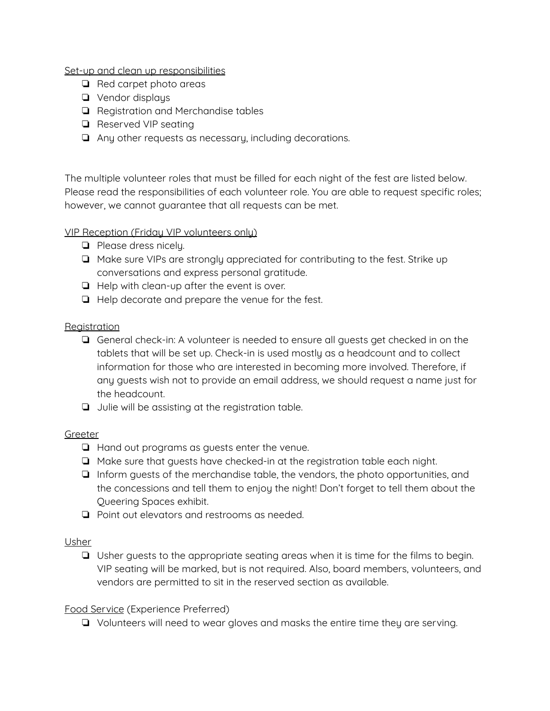Set-up and clean up responsibilities

- ❏ Red carpet photo areas
- ❏ Vendor displays
- ❏ Registration and Merchandise tables
- ❏ Reserved VIP seating
- ❏ Any other requests as necessary, including decorations.

The multiple volunteer roles that must be filled for each night of the fest are listed below. Please read the responsibilities of each volunteer role. You are able to request specific roles; however, we cannot guarantee that all requests can be met.

# VIP Reception (Friday VIP volunteers only)

- ❏ Please dress nicely.
- ❏ Make sure VIPs are strongly appreciated for contributing to the fest. Strike up conversations and express personal gratitude.
- ❏ Help with clean-up after the event is over.
- ❏ Help decorate and prepare the venue for the fest.

### **Registration**

- ❏ General check-in: A volunteer is needed to ensure all guests get checked in on the tablets that will be set up. Check-in is used mostly as a headcount and to collect information for those who are interested in becoming more involved. Therefore, if any guests wish not to provide an email address, we should request a name just for the headcount.
- ❏ Julie will be assisting at the registration table.

# Greeter

- ❏ Hand out programs as guests enter the venue.
- ❏ Make sure that guests have checked-in at the registration table each night.
- ❏ Inform guests of the merchandise table, the vendors, the photo opportunities, and the concessions and tell them to enjoy the night! Don't forget to tell them about the Queering Spaces exhibit.
- ❏ Point out elevators and restrooms as needed.

# Usher

❏ Usher guests to the appropriate seating areas when it is time for the films to begin. VIP seating will be marked, but is not required. Also, board members, volunteers, and vendors are permitted to sit in the reserved section as available.

# Food Service (Experience Preferred)

❏ Volunteers will need to wear gloves and masks the entire time they are serving.